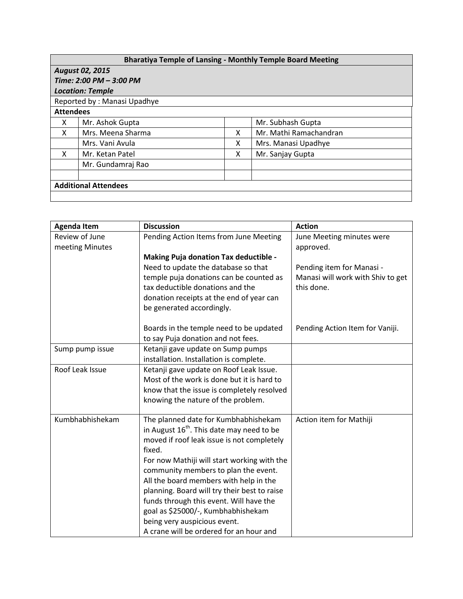| <b>Bharatiya Temple of Lansing - Monthly Temple Board Meeting</b> |                   |   |                        |  |  |  |  |
|-------------------------------------------------------------------|-------------------|---|------------------------|--|--|--|--|
| <b>August 02, 2015</b>                                            |                   |   |                        |  |  |  |  |
| Time: 2:00 PM - 3:00 PM                                           |                   |   |                        |  |  |  |  |
| <b>Location: Temple</b>                                           |                   |   |                        |  |  |  |  |
| Reported by: Manasi Upadhye                                       |                   |   |                        |  |  |  |  |
| <b>Attendees</b>                                                  |                   |   |                        |  |  |  |  |
| x                                                                 | Mr. Ashok Gupta   |   | Mr. Subhash Gupta      |  |  |  |  |
| X                                                                 | Mrs. Meena Sharma | X | Mr. Mathi Ramachandran |  |  |  |  |
|                                                                   | Mrs. Vani Avula   | x | Mrs. Manasi Upadhye    |  |  |  |  |
| X                                                                 | Mr. Ketan Patel   | x | Mr. Sanjay Gupta       |  |  |  |  |
|                                                                   | Mr. Gundamraj Rao |   |                        |  |  |  |  |
|                                                                   |                   |   |                        |  |  |  |  |
| <b>Additional Attendees</b>                                       |                   |   |                        |  |  |  |  |
|                                                                   |                   |   |                        |  |  |  |  |

| <b>Agenda Item</b> | <b>Discussion</b>                              | <b>Action</b>                     |
|--------------------|------------------------------------------------|-----------------------------------|
| Review of June     | Pending Action Items from June Meeting         | June Meeting minutes were         |
| meeting Minutes    |                                                | approved.                         |
|                    | Making Puja donation Tax deductible -          |                                   |
|                    | Need to update the database so that            | Pending item for Manasi -         |
|                    | temple puja donations can be counted as        | Manasi will work with Shiv to get |
|                    | tax deductible donations and the               | this done.                        |
|                    | donation receipts at the end of year can       |                                   |
|                    | be generated accordingly.                      |                                   |
|                    | Boards in the temple need to be updated        | Pending Action Item for Vaniji.   |
|                    | to say Puja donation and not fees.             |                                   |
| Sump pump issue    | Ketanji gave update on Sump pumps              |                                   |
|                    | installation. Installation is complete.        |                                   |
| Roof Leak Issue    | Ketanji gave update on Roof Leak Issue.        |                                   |
|                    | Most of the work is done but it is hard to     |                                   |
|                    | know that the issue is completely resolved     |                                   |
|                    | knowing the nature of the problem.             |                                   |
| Kumbhabhishekam    | The planned date for Kumbhabhishekam           | Action item for Mathiji           |
|                    | in August $16^{th}$ . This date may need to be |                                   |
|                    | moved if roof leak issue is not completely     |                                   |
|                    | fixed.                                         |                                   |
|                    | For now Mathiji will start working with the    |                                   |
|                    | community members to plan the event.           |                                   |
|                    | All the board members with help in the         |                                   |
|                    | planning. Board will try their best to raise   |                                   |
|                    | funds through this event. Will have the        |                                   |
|                    | goal as \$25000/-, Kumbhabhishekam             |                                   |
|                    | being very auspicious event.                   |                                   |
|                    | A crane will be ordered for an hour and        |                                   |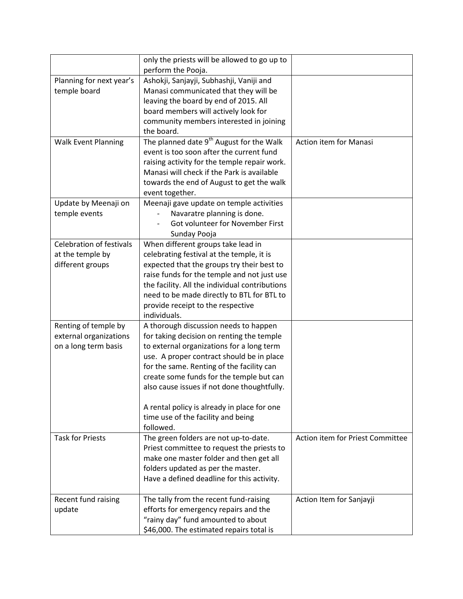|                                 | only the priests will be allowed to go up to         |                                  |
|---------------------------------|------------------------------------------------------|----------------------------------|
|                                 | perform the Pooja.                                   |                                  |
| Planning for next year's        | Ashokji, Sanjayji, Subhashji, Vaniji and             |                                  |
| temple board                    | Manasi communicated that they will be                |                                  |
|                                 | leaving the board by end of 2015. All                |                                  |
|                                 | board members will actively look for                 |                                  |
|                                 | community members interested in joining              |                                  |
|                                 | the board.                                           |                                  |
| <b>Walk Event Planning</b>      | The planned date 9 <sup>th</sup> August for the Walk | Action item for Manasi           |
|                                 | event is too soon after the current fund             |                                  |
|                                 | raising activity for the temple repair work.         |                                  |
|                                 | Manasi will check if the Park is available           |                                  |
|                                 | towards the end of August to get the walk            |                                  |
|                                 | event together.                                      |                                  |
| Update by Meenaji on            | Meenaji gave update on temple activities             |                                  |
| temple events                   | Navaratre planning is done.                          |                                  |
|                                 | Got volunteer for November First                     |                                  |
|                                 | Sunday Pooja                                         |                                  |
| <b>Celebration of festivals</b> | When different groups take lead in                   |                                  |
| at the temple by                | celebrating festival at the temple, it is            |                                  |
| different groups                | expected that the groups try their best to           |                                  |
|                                 | raise funds for the temple and not just use          |                                  |
|                                 | the facility. All the individual contributions       |                                  |
|                                 | need to be made directly to BTL for BTL to           |                                  |
|                                 | provide receipt to the respective                    |                                  |
|                                 | individuals.                                         |                                  |
| Renting of temple by            | A thorough discussion needs to happen                |                                  |
| external organizations          | for taking decision on renting the temple            |                                  |
| on a long term basis            | to external organizations for a long term            |                                  |
|                                 | use. A proper contract should be in place            |                                  |
|                                 | for the same. Renting of the facility can            |                                  |
|                                 | create some funds for the temple but can             |                                  |
|                                 | also cause issues if not done thoughtfully.          |                                  |
|                                 |                                                      |                                  |
|                                 | A rental policy is already in place for one          |                                  |
|                                 | time use of the facility and being                   |                                  |
|                                 | followed.                                            |                                  |
| <b>Task for Priests</b>         | The green folders are not up-to-date.                | Action item for Priest Committee |
|                                 | Priest committee to request the priests to           |                                  |
|                                 | make one master folder and then get all              |                                  |
|                                 | folders updated as per the master.                   |                                  |
|                                 | Have a defined deadline for this activity.           |                                  |
|                                 |                                                      |                                  |
| Recent fund raising             | The tally from the recent fund-raising               | Action Item for Sanjayji         |
| update                          | efforts for emergency repairs and the                |                                  |
|                                 | "rainy day" fund amounted to about                   |                                  |
|                                 | \$46,000. The estimated repairs total is             |                                  |